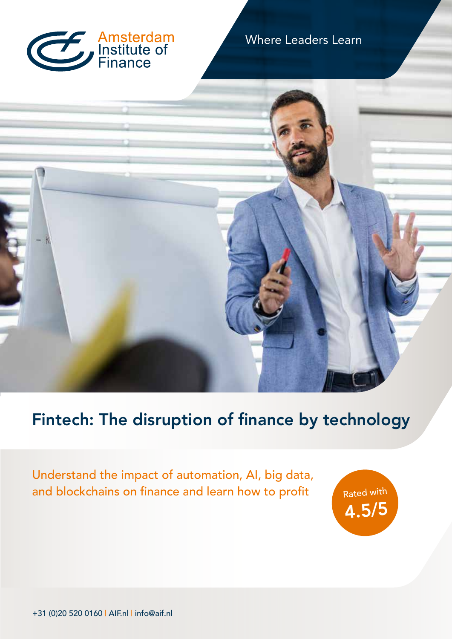

# Where Leaders Learn



Understand the impact of automation, AI, big data, and blockchains on finance and learn how to profit Rated with



+31 (0)20 520 0160 | AIF.nl | info@aif.nl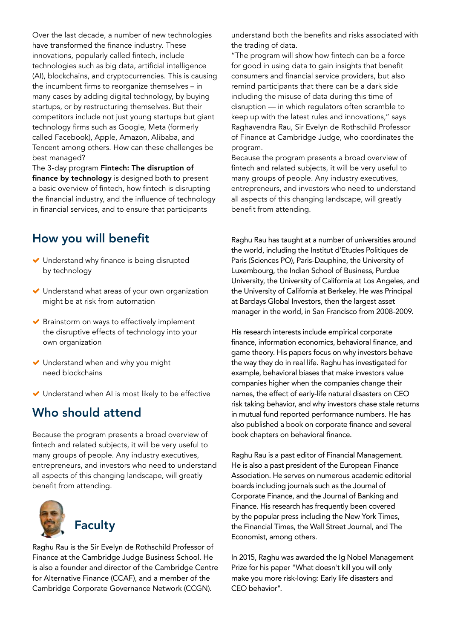Over the last decade, a number of new technologies have transformed the finance industry. These innovations, popularly called fintech, include technologies such as big data, artificial intelligence (AI), blockchains, and cryptocurrencies. This is causing the incumbent firms to reorganize themselves – in many cases by adding digital technology, by buying startups, or by restructuring themselves. But their competitors include not just young startups but giant technology firms such as Google, Meta (formerly called Facebook), Apple, Amazon, Alibaba, and Tencent among others. How can these challenges be best managed?

The 3-day program Fintech: The disruption of finance by technology is designed both to present a basic overview of fintech, how fintech is disrupting the financial industry, and the influence of technology in financial services, and to ensure that participants

## How you will benefit

- Understand why finance is being disrupted by technology
- Understand what areas of your own organization might be at risk from automation
- $\blacktriangleright$  Brainstorm on ways to effectively implement the disruptive effects of technology into your own organization
- Understand when and why you might need blockchains
- Understand when AI is most likely to be effective

## Who should attend

Because the program presents a broad overview of fintech and related subjects, it will be very useful to many groups of people. Any industry executives, entrepreneurs, and investors who need to understand all aspects of this changing landscape, will greatly benefit from attending.



Raghu Rau is the Sir Evelyn de Rothschild Professor of Finance at the Cambridge Judge Business School. He is also a founder and director of the Cambridge Centre for Alternative Finance (CCAF), and a member of the Cambridge Corporate Governance Network (CCGN).

understand both the benefits and risks associated with the trading of data.

"The program will show how fintech can be a force for good in using data to gain insights that benefit consumers and financial service providers, but also remind participants that there can be a dark side including the misuse of data during this time of disruption — in which regulators often scramble to keep up with the latest rules and innovations," says Raghavendra Rau, Sir Evelyn de Rothschild Professor of Finance at Cambridge Judge, who coordinates the program.

Because the program presents a broad overview of fintech and related subjects, it will be very useful to many groups of people. Any industry executives, entrepreneurs, and investors who need to understand all aspects of this changing landscape, will greatly benefit from attending.

Raghu Rau has taught at a number of universities around the world, including the Institut d'Etudes Politiques de Paris (Sciences PO), Paris-Dauphine, the University of Luxembourg, the Indian School of Business, Purdue University, the University of California at Los Angeles, and the University of California at Berkeley. He was Principal at Barclays Global Investors, then the largest asset manager in the world, in San Francisco from 2008-2009.

His research interests include empirical corporate finance, information economics, behavioral finance, and game theory. His papers focus on why investors behave the way they do in real life. Raghu has investigated for example, behavioral biases that make investors value companies higher when the companies change their names, the effect of early-life natural disasters on CEO risk taking behavior, and why investors chase stale returns in mutual fund reported performance numbers. He has also published a book on corporate finance and several book chapters on behavioral finance.

Raghu Rau is a past editor of Financial Management. He is also a past president of the European Finance Association. He serves on numerous academic editorial boards including journals such as the Journal of Corporate Finance, and the Journal of Banking and Finance. His research has frequently been covered by the popular press including the New York Times, the Financial Times, the Wall Street Journal, and The Economist, among others.

In 2015, Raghu was awarded the Ig Nobel Management Prize for his paper "What doesn't kill you will only make you more risk-loving: Early life disasters and CEO behavior".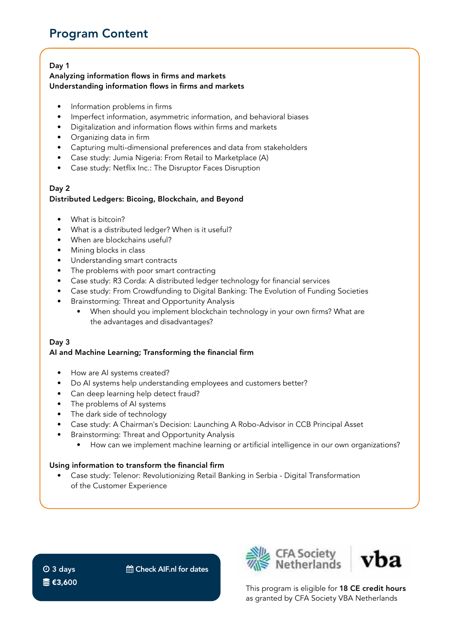# Program Content

### Day 1

### Analyzing information flows in firms and markets Understanding information flows in firms and markets

- Information problems in firms
- Imperfect information, asymmetric information, and behavioral biases
- Digitalization and information flows within firms and markets
- Organizing data in firm
- Capturing multi-dimensional preferences and data from stakeholders
- Case study: Jumia Nigeria: From Retail to Marketplace (A)
- Case study: Netflix Inc.: The Disruptor Faces Disruption

#### Day 2 Distributed Ledgers: Bicoing, Blockchain, and Beyond

- What is bitcoin?
- What is a distributed ledger? When is it useful?
- When are blockchains useful?
- Mining blocks in class
- Understanding smart contracts
- The problems with poor smart contracting
- Case study: R3 Corda: A distributed ledger technology for financial services
- Case study: From Crowdfunding to Digital Banking: The Evolution of Funding Societies
- Brainstorming: Threat and Opportunity Analysis
	- When should you implement blockchain technology in your own firms? What are the advantages and disadvantages?

#### Day 3

### AI and Machine Learning; Transforming the financial firm

- How are AI systems created?
- Do AI systems help understanding employees and customers better?
- Can deep learning help detect fraud?
- The problems of AI systems
- The dark side of technology
- Case study: A Chairman's Decision: Launching A Robo-Advisor in CCB Principal Asset
- Brainstorming: Threat and Opportunity Analysis
	- How can we implement machine learning or artificial intelligence in our own organizations?

#### Using information to transform the financial firm

• Case study: Telenor: Revolutionizing Retail Banking in Serbia - Digital Transformation of the Customer Experience

 3 days €3,600 Check AIF.nl for dates



This program is eligible for 18 CE credit hours as granted by CFA Society VBA Netherlands